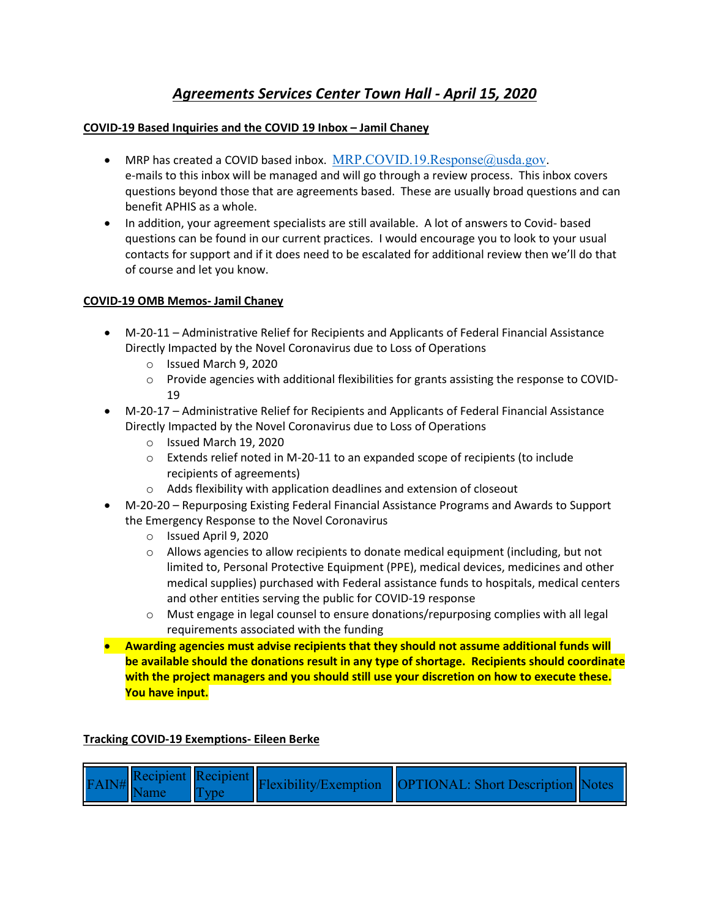# *Agreements Services Center Town Hall - April 15, 2020*

## **COVID-19 Based Inquiries and the COVID 19 Inbox – Jamil Chaney**

- MRP has created a COVID based inbox.  $MRP$ .COVID.19.Response $@u$ usda.gov. e-mails to this inbox will be managed and will go through a review process. This inbox covers questions beyond those that are agreements based. These are usually broad questions and can benefit APHIS as a whole.
- In addition, your agreement specialists are still available. A lot of answers to Covid- based questions can be found in our current practices. I would encourage you to look to your usual contacts for support and if it does need to be escalated for additional review then we'll do that of course and let you know.

### **COVID-19 OMB Memos- Jamil Chaney**

- M-20-11 Administrative Relief for Recipients and Applicants of Federal Financial Assistance Directly Impacted by the Novel Coronavirus due to Loss of Operations
	- o Issued March 9, 2020
	- o Provide agencies with additional flexibilities for grants assisting the response to COVID-19
- M-20-17 Administrative Relief for Recipients and Applicants of Federal Financial Assistance Directly Impacted by the Novel Coronavirus due to Loss of Operations
	- o Issued March 19, 2020
	- o Extends relief noted in M-20-11 to an expanded scope of recipients (to include recipients of agreements)
	- o Adds flexibility with application deadlines and extension of closeout
- M-20-20 Repurposing Existing Federal Financial Assistance Programs and Awards to Support the Emergency Response to the Novel Coronavirus
	- o Issued April 9, 2020
	- $\circ$  Allows agencies to allow recipients to donate medical equipment (including, but not limited to, Personal Protective Equipment (PPE), medical devices, medicines and other medical supplies) purchased with Federal assistance funds to hospitals, medical centers and other entities serving the public for COVID-19 response
	- $\circ$  Must engage in legal counsel to ensure donations/repurposing complies with all legal requirements associated with the funding
- **Awarding agencies must advise recipients that they should not assume additional funds will be available should the donations result in any type of shortage. Recipients should coordinate with the project managers and you should still use your discretion on how to execute these. You have input.**

### **Tracking COVID-19 Exemptions- Eileen Berke**

| $\mathcal{F}$ Recipient Recipient $\mathcal{F}$ Recipient $\mathcal{F}$ Recipient $\mathcal{F}$ Recipient Recipient Recipient Recipient Recipient Recipient Recipient Recipient Recipient Recipient Recipient Recipient Recipient Recipient Recip<br>Name<br><b>I</b> Tvpe |  |
|----------------------------------------------------------------------------------------------------------------------------------------------------------------------------------------------------------------------------------------------------------------------------|--|
|----------------------------------------------------------------------------------------------------------------------------------------------------------------------------------------------------------------------------------------------------------------------------|--|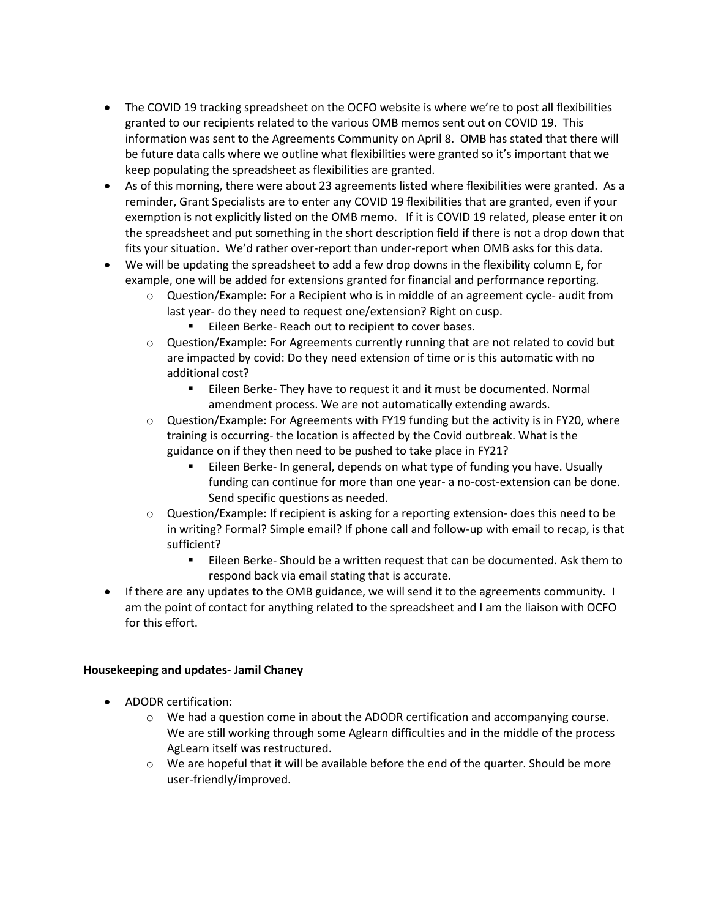- The COVID 19 tracking spreadsheet on the OCFO website is where we're to post all flexibilities granted to our recipients related to the various OMB memos sent out on COVID 19. This information was sent to the Agreements Community on April 8. OMB has stated that there will be future data calls where we outline what flexibilities were granted so it's important that we keep populating the spreadsheet as flexibilities are granted.
- As of this morning, there were about 23 agreements listed where flexibilities were granted. As a reminder, Grant Specialists are to enter any COVID 19 flexibilities that are granted, even if your exemption is not explicitly listed on the OMB memo. If it is COVID 19 related, please enter it on the spreadsheet and put something in the short description field if there is not a drop down that fits your situation. We'd rather over-report than under-report when OMB asks for this data.
- We will be updating the spreadsheet to add a few drop downs in the flexibility column E, for example, one will be added for extensions granted for financial and performance reporting.
	- $\circ$  Question/Example: For a Recipient who is in middle of an agreement cycle- audit from last year- do they need to request one/extension? Right on cusp.
		- **Eileen Berke- Reach out to recipient to cover bases.**
	- $\circ$  Question/Example: For Agreements currently running that are not related to covid but are impacted by covid: Do they need extension of time or is this automatic with no additional cost?
		- **Eileen Berke- They have to request it and it must be documented. Normal** amendment process. We are not automatically extending awards.
	- $\circ$  Question/Example: For Agreements with FY19 funding but the activity is in FY20, where training is occurring- the location is affected by the Covid outbreak. What is the guidance on if they then need to be pushed to take place in FY21?
		- Eileen Berke- In general, depends on what type of funding you have. Usually funding can continue for more than one year- a no-cost-extension can be done. Send specific questions as needed.
	- o Question/Example: If recipient is asking for a reporting extension- does this need to be in writing? Formal? Simple email? If phone call and follow-up with email to recap, is that sufficient?
		- Eileen Berke- Should be a written request that can be documented. Ask them to respond back via email stating that is accurate.
- If there are any updates to the OMB guidance, we will send it to the agreements community. I am the point of contact for anything related to the spreadsheet and I am the liaison with OCFO for this effort.

### **Housekeeping and updates- Jamil Chaney**

- ADODR certification:
	- $\circ$  We had a question come in about the ADODR certification and accompanying course. We are still working through some Aglearn difficulties and in the middle of the process AgLearn itself was restructured.
	- $\circ$  We are hopeful that it will be available before the end of the quarter. Should be more user-friendly/improved.